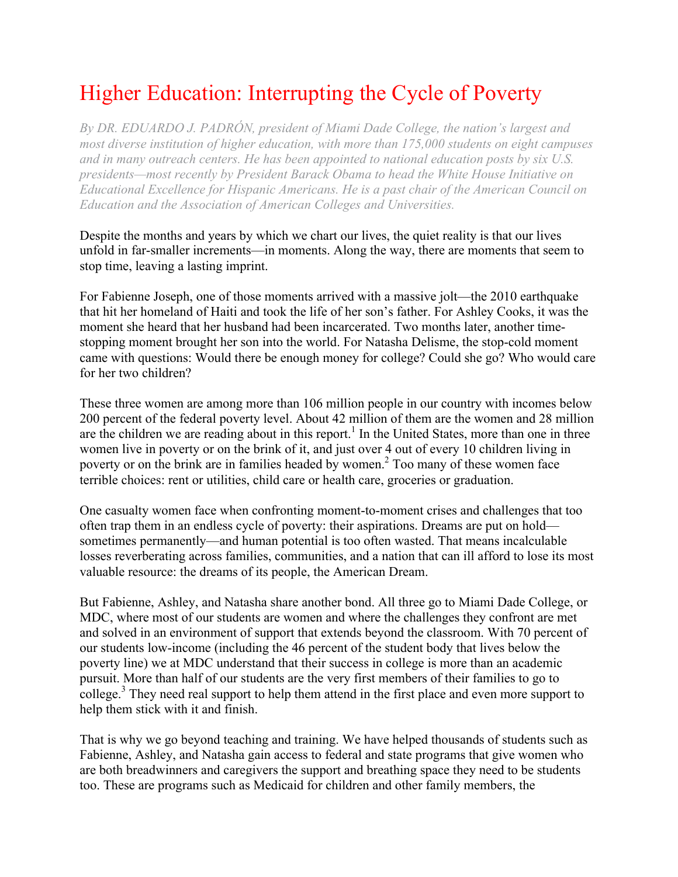## Higher Education: Interrupting the Cycle of Poverty

*By DR. EDUARDO J. PADRÓN, president of Miami Dade College, the nation's largest and most diverse institution of higher education, with more than 175,000 students on eight campuses and in many outreach centers. He has been appointed to national education posts by six U.S. presidents—most recently by President Barack Obama to head the White House Initiative on Educational Excellence for Hispanic Americans. He is a past chair of the American Council on Education and the Association of American Colleges and Universities.*

Despite the months and years by which we chart our lives, the quiet reality is that our lives unfold in far-smaller increments—in moments. Along the way, there are moments that seem to stop time, leaving a lasting imprint.

For Fabienne Joseph, one of those moments arrived with a massive jolt—the 2010 earthquake that hit her homeland of Haiti and took the life of her son's father. For Ashley Cooks, it was the moment she heard that her husband had been incarcerated. Two months later, another timestopping moment brought her son into the world. For Natasha Delisme, the stop-cold moment came with questions: Would there be enough money for college? Could she go? Who would care for her two children?

These three women are among more than 106 million people in our country with incomes below 200 percent of the federal poverty level. About 42 million of them are the women and 28 million are the children we are reading about in this report.<sup>1</sup> In the United States, more than one in three women live in poverty or on the brink of it, and just over 4 out of every 10 children living in poverty or on the brink are in families headed by women.<sup>2</sup> Too many of these women face terrible choices: rent or utilities, child care or health care, groceries or graduation.

One casualty women face when confronting moment-to-moment crises and challenges that too often trap them in an endless cycle of poverty: their aspirations. Dreams are put on hold sometimes permanently—and human potential is too often wasted. That means incalculable losses reverberating across families, communities, and a nation that can ill afford to lose its most valuable resource: the dreams of its people, the American Dream.

But Fabienne, Ashley, and Natasha share another bond. All three go to Miami Dade College, or MDC, where most of our students are women and where the challenges they confront are met and solved in an environment of support that extends beyond the classroom. With 70 percent of our students low-income (including the 46 percent of the student body that lives below the poverty line) we at MDC understand that their success in college is more than an academic pursuit. More than half of our students are the very first members of their families to go to college.<sup>3</sup> They need real support to help them attend in the first place and even more support to help them stick with it and finish.

That is why we go beyond teaching and training. We have helped thousands of students such as Fabienne, Ashley, and Natasha gain access to federal and state programs that give women who are both breadwinners and caregivers the support and breathing space they need to be students too. These are programs such as Medicaid for children and other family members, the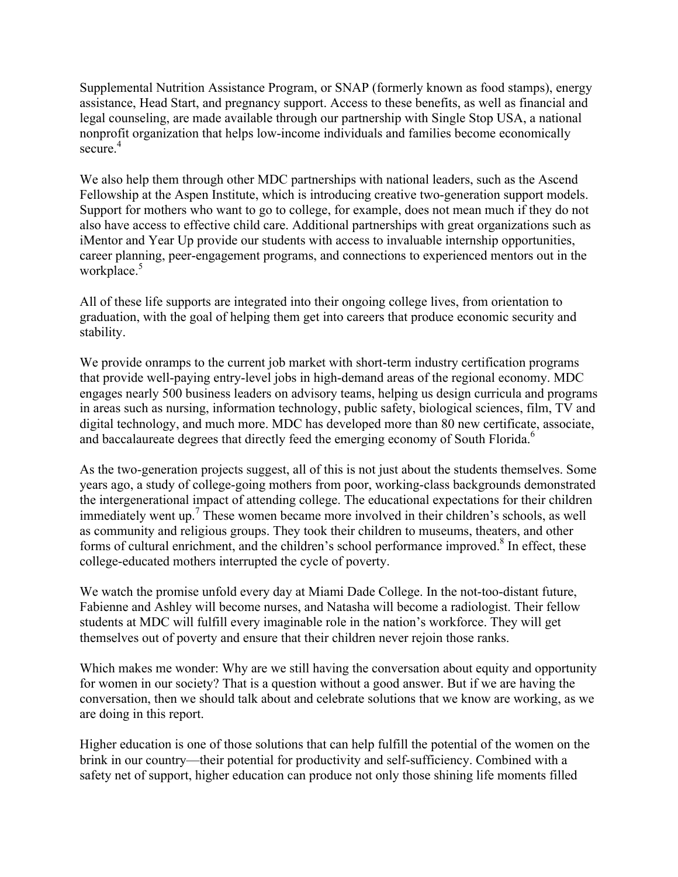Supplemental Nutrition Assistance Program, or SNAP (formerly known as food stamps), energy assistance, Head Start, and pregnancy support. Access to these benefits, as well as financial and legal counseling, are made available through our partnership with Single Stop USA, a national nonprofit organization that helps low-income individuals and families become economically secure $^{4}$ 

We also help them through other MDC partnerships with national leaders, such as the Ascend Fellowship at the Aspen Institute, which is introducing creative two-generation support models. Support for mothers who want to go to college, for example, does not mean much if they do not also have access to effective child care. Additional partnerships with great organizations such as iMentor and Year Up provide our students with access to invaluable internship opportunities, career planning, peer-engagement programs, and connections to experienced mentors out in the workplace.<sup>5</sup>

All of these life supports are integrated into their ongoing college lives, from orientation to graduation, with the goal of helping them get into careers that produce economic security and stability.

We provide onramps to the current job market with short-term industry certification programs that provide well-paying entry-level jobs in high-demand areas of the regional economy. MDC engages nearly 500 business leaders on advisory teams, helping us design curricula and programs in areas such as nursing, information technology, public safety, biological sciences, film, TV and digital technology, and much more. MDC has developed more than 80 new certificate, associate, and baccalaureate degrees that directly feed the emerging economy of South Florida.<sup>6</sup>

As the two-generation projects suggest, all of this is not just about the students themselves. Some years ago, a study of college-going mothers from poor, working-class backgrounds demonstrated the intergenerational impact of attending college. The educational expectations for their children immediately went up.<sup>7</sup> These women became more involved in their children's schools, as well as community and religious groups. They took their children to museums, theaters, and other forms of cultural enrichment, and the children's school performance improved. $8$  In effect, these college-educated mothers interrupted the cycle of poverty.

We watch the promise unfold every day at Miami Dade College. In the not-too-distant future, Fabienne and Ashley will become nurses, and Natasha will become a radiologist. Their fellow students at MDC will fulfill every imaginable role in the nation's workforce. They will get themselves out of poverty and ensure that their children never rejoin those ranks.

Which makes me wonder: Why are we still having the conversation about equity and opportunity for women in our society? That is a question without a good answer. But if we are having the conversation, then we should talk about and celebrate solutions that we know are working, as we are doing in this report.

Higher education is one of those solutions that can help fulfill the potential of the women on the brink in our country—their potential for productivity and self-sufficiency. Combined with a safety net of support, higher education can produce not only those shining life moments filled